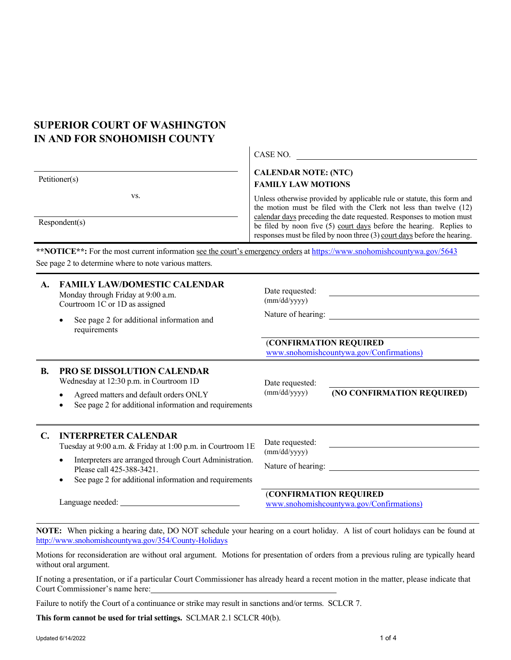## **SUPERIOR COURT OF WASHINGTON IN AND FOR SNOHOMISH COUNTY**

Respondent(s)

vs.

CASE NO.

## **CALENDAR NOTE: (NTC) FAMILY LAW MOTIONS**

Unless otherwise provided by applicable rule or statute, this form and the motion must be filed with the Clerk not less than twelve (12) calendar days preceding the date requested. Responses to motion must be filed by noon five (5) court days before the hearing. Replies to responses must be filed by noon three (3) court days before the hearing.

\*\***NOTICE**\*\*: For the most current information see the court's emergency orders a[t https://www.snohomishcountywa.gov/5643](https://www.snohomishcountywa.gov/5643) See page 2 to determine where to note various matters.

| A.           | <b>FAMILY LAW/DOMESTIC CALENDAR</b><br>Monday through Friday at 9:00 a.m.<br>Courtroom 1C or 1D as assigned<br>See page 2 for additional information and<br>requirements                                                                                        | Date requested:<br>(mm/dd/yyyy)<br>Nature of hearing:                                                                       |
|--------------|-----------------------------------------------------------------------------------------------------------------------------------------------------------------------------------------------------------------------------------------------------------------|-----------------------------------------------------------------------------------------------------------------------------|
|              |                                                                                                                                                                                                                                                                 | (CONFIRMATION REQUIRED<br>www.snohomishcountywa.gov/Confirmations)                                                          |
| B.           | <b>PRO SE DISSOLUTION CALENDAR</b><br>Wednesday at 12:30 p.m. in Courtroom 1D<br>Agreed matters and default orders ONLY<br>See page 2 for additional information and requirements                                                                               | Date requested:<br>(NO CONFIRMATION REQUIRED)<br>(mm/dd/yyyy)                                                               |
| $\mathbb{C}$ | <b>INTERPRETER CALENDAR</b><br>Tuesday at 9:00 a.m. & Friday at 1:00 p.m. in Courtroom 1E<br>Interpreters are arranged through Court Administration.<br>Please call 425-388-3421.<br>See page 2 for additional information and requirements<br>Language needed: | Date requested:<br>(mm/dd/yyyy)<br>Nature of hearing:<br>(CONFIRMATION REQUIRED<br>www.snohomishcountywa.gov/Confirmations) |

**NOTE:** When picking a hearing date, DO NOT schedule your hearing on a court holiday. A list of court holidays can be found at <http://www.snohomishcountywa.gov/354/County-Holidays>

Motions for reconsideration are without oral argument. Motions for presentation of orders from a previous ruling are typically heard without oral argument.

If noting a presentation, or if a particular Court Commissioner has already heard a recent motion in the matter, please indicate that Court Commissioner's name here:

Failure to notify the Court of a continuance or strike may result in sanctions and/or terms. SCLCR 7.

**This form cannot be used for trial settings.** SCLMAR 2.1 SCLCR 40(b).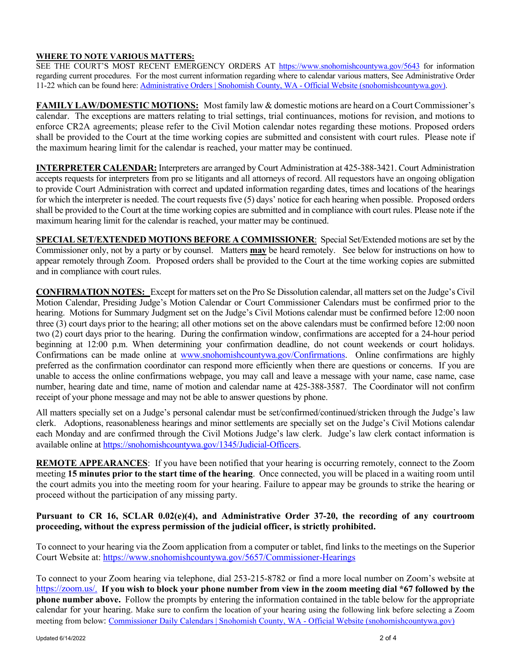## **WHERE TO NOTE VARIOUS MATTERS:**

SEE THE COURT'S MOST RECENT EMERGENCY ORDERS AT<https://www.snohomishcountywa.gov/5643> for information regarding current procedures. For the most current information regarding where to calendar various matters, See Administrative Order 11-22 which can be found here: [Administrative Orders | Snohomish County, WA -](https://www.snohomishcountywa.gov/1354/Administrative-Orders) Official Website (snohomishcountywa.gov).

**FAMILY LAW/DOMESTIC MOTIONS:** Most family law & domestic motions are heard on a Court Commissioner's calendar. The exceptions are matters relating to trial settings, trial continuances, motions for revision, and motions to enforce CR2A agreements; please refer to the Civil Motion calendar notes regarding these motions. Proposed orders shall be provided to the Court at the time working copies are submitted and consistent with court rules. Please note if the maximum hearing limit for the calendar is reached, your matter may be continued.

**INTERPRETER CALENDAR:** Interpreters are arranged by Court Administration at 425-388-3421. Court Administration accepts requests for interpreters from pro se litigants and all attorneys of record. All requestors have an ongoing obligation to provide Court Administration with correct and updated information regarding dates, times and locations of the hearings for which the interpreter is needed. The court requests five (5) days' notice for each hearing when possible. Proposed orders shall be provided to the Court at the time working copies are submitted and in compliance with court rules. Please note if the maximum hearing limit for the calendar is reached, your matter may be continued.

**SPECIAL SET/EXTENDED MOTIONS BEFORE A COMMISSIONER**: Special Set/Extended motions are set by the Commissioner only, not by a party or by counsel. Matters **may** be heard remotely. See below for instructions on how to appear remotely through Zoom. Proposed orders shall be provided to the Court at the time working copies are submitted and in compliance with court rules.

**CONFIRMATION NOTES:** Except for matters set on the Pro Se Dissolution calendar, all matters set on the Judge's Civil Motion Calendar, Presiding Judge's Motion Calendar or Court Commissioner Calendars must be confirmed prior to the hearing. Motions for Summary Judgment set on the Judge's Civil Motions calendar must be confirmed before 12:00 noon three (3) court days prior to the hearing; all other motions set on the above calendars must be confirmed before 12:00 noon two (2) court days prior to the hearing. During the confirmation window, confirmations are accepted for a 24-hour period beginning at 12:00 p.m. When determining your confirmation deadline, do not count weekends or court holidays. Confirmations can be made online at [www.snohomishcountywa.gov/Confirmations.](http://www.snohomishcountywa.gov/Confirmations) Online confirmations are highly preferred as the confirmation coordinator can respond more efficiently when there are questions or concerns. If you are unable to access the online confirmations webpage, you may call and leave a message with your name, case name, case number, hearing date and time, name of motion and calendar name at 425-388-3587. The Coordinator will not confirm receipt of your phone message and may not be able to answer questions by phone.

All matters specially set on a Judge's personal calendar must be set/confirmed/continued/stricken through the Judge's law clerk. Adoptions, reasonableness hearings and minor settlements are specially set on the Judge's Civil Motions calendar each Monday and are confirmed through the Civil Motions Judge's law clerk. Judge's law clerk contact information is available online a[t https://snohomishcountywa.gov/1345/Judicial-Officers.](https://snohomishcountywa.gov/1345/Judicial-Officers)

**REMOTE APPEARANCES**: If you have been notified that your hearing is occurring remotely, connect to the Zoom meeting **15 minutes prior to the start time of the hearing**. Once connected, you will be placed in a waiting room until the court admits you into the meeting room for your hearing. Failure to appear may be grounds to strike the hearing or proceed without the participation of any missing party.

## **Pursuant to CR 16, SCLAR 0.02(e)(4), and Administrative Order 37-20, the recording of any courtroom proceeding, without the express permission of the judicial officer, is strictly prohibited.**

To connect to your hearing via the Zoom application from a computer or tablet, find links to the meetings on the Superior Court Website at: [https://www.snohomishcountywa.gov/5657/Commissioner-Hearings](https://gcc01.safelinks.protection.outlook.com/?url=https%3A%2F%2Fwww.snohomishcountywa.gov%2F5657%2FCommissioner-Hearings&data=02%7C01%7Cbrittany.romero%40co.snohomish.wa.us%7Ce1e8462a259846b5bbb708d83350e049%7C6bd456aabc074218897c4d0a6a503ee2%7C1%7C0%7C637315769733402105&sdata=5ByRV0V6oe2iUQHzkusDHTnlgXM1%2FmTeF5RuMGDw7xk%3D&reserved=0)

To connect to your Zoom hearing via telephone, dial 253-215-8782 or find a more local number on Zoom's website at [https://zoom.us/.](https://zoom.us/) **If you wish to block your phone number from view in the zoom meeting dial \*67 followed by the phone number above.** Follow the prompts by entering the information contained in the table below for the appropriate calendar for your hearing. Make sure to confirm the location of your hearing using the following link before selecting a Zoom meeting from below: [Commissioner Daily Calendars | Snohomish County, WA -](https://www.snohomishcountywa.gov/5659/Commissioner-Daily-Calendars) Official Website (snohomishcountywa.gov)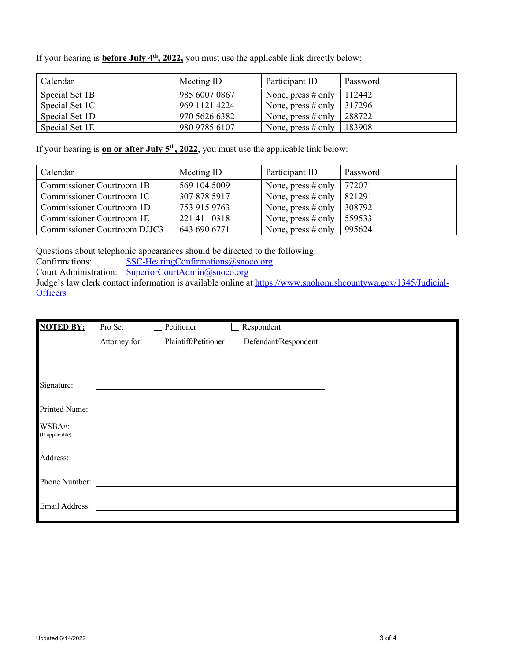If your hearing is **before July 4th, 2022,** you must use the applicable link directly below:

| Calendar       | Meeting ID    | Participant ID                | Password |
|----------------|---------------|-------------------------------|----------|
| Special Set 1B | 985 6007 0867 | None, press # only   $112442$ |          |
| Special Set 1C | 969 1121 4224 | None, press # only   $317296$ |          |
| Special Set 1D | 970 5626 6382 | None, press $#$ only          | 288722   |
| Special Set 1E | 980 9785 6107 | None, press # only   $183908$ |          |

If your hearing is **on or after July 5<sup>th</sup>, 2022**, you must use the applicable link below:

| Calendar                     | Meeting ID   | Participant ID        | Password |
|------------------------------|--------------|-----------------------|----------|
| Commissioner Courtroom 1B    | 569 104 5009 | None, press $\#$ only | 772071   |
| Commissioner Courtroom 1C    | 307 878 5917 | None, press $#$ only  | 821291   |
| Commissioner Courtroom 1D    | 753 915 9763 | None, press $#$ only  | 308792   |
| Commissioner Courtroom 1E    | 221 411 0318 | None, press $#$ only  | 559533   |
| Commissioner Courtroom DJJC3 | 643 690 6771 | None, press $\#$ only | 995624   |

Questions about telephonic appearances should be directed to the following:<br>Confirmations: SSC-HearingConfirmations@snoco.org

 $SSC$ -HearingConfirmations@snoco.org

Court Administration: [SuperiorCourtAdmin@snoco.org](mailto:SuperiorCourtAdmin@snoco.org)

Judge's law clerk contact information is available online at [https://www.snohomishcountywa.gov/1345/Judicial-](https://www.snohomishcountywa.gov/1345/Judicial-Officers)**[Officers](https://www.snohomishcountywa.gov/1345/Judicial-Officers)** 

| <b>NOTED BY:</b> | Pro Se:       | Petitioner                  | Respondent           |  |
|------------------|---------------|-----------------------------|----------------------|--|
|                  | Attorney for: | $\Box$ Plaintiff/Petitioner | Defendant/Respondent |  |
|                  |               |                             |                      |  |
|                  |               |                             |                      |  |
| Signature:       |               |                             |                      |  |
|                  |               |                             |                      |  |
| Printed Name:    |               |                             |                      |  |
| WSBA#:           |               |                             |                      |  |
| (If applicable)  |               |                             |                      |  |
| Address:         |               |                             |                      |  |
|                  |               |                             |                      |  |
| Phone Number:    |               |                             |                      |  |
|                  |               |                             |                      |  |
| Email Address:   |               |                             |                      |  |
|                  |               |                             |                      |  |